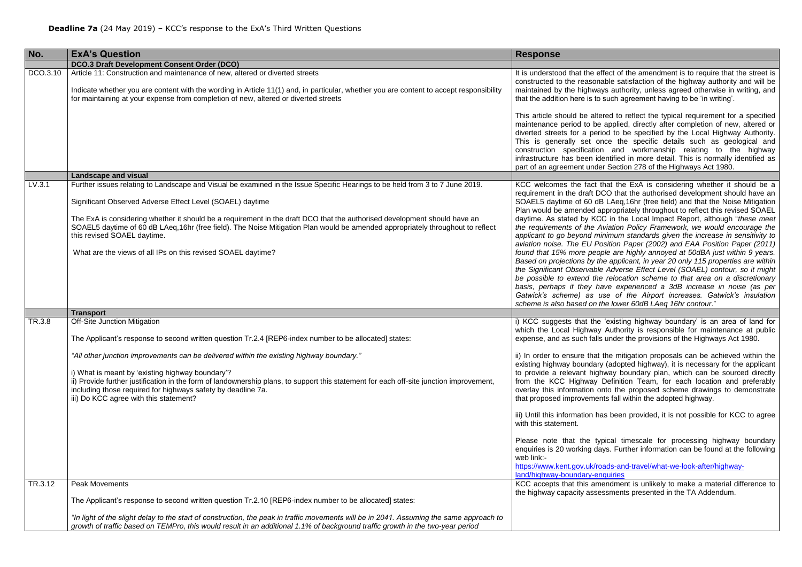hat the ExA is considering whether it should be a CO that the authorised development should have an E LAeg,16hr (free field) and that the Noise Mitigation ppropriately throughout to reflect this revised SOAEL daytime. As stated by KCC in the Local Impact Report, although "*these meet*  viation Policy Framework, we would encourage the *applicant to go beyond minimum standards given the increase in sensitivity to aition Paper (2002) and EAA Position Paper (2011) found that 15% more people are highly annoyed at 50dBA just within 9 years. Based on projections by the applicant, in year 20 only 115 properties are within*  Adverse Effect Level (SOAEL) contour, so it might *be possible to extend the relocation scheme to that area on a discretionary basis, perhaps if they have experienced a 3dB increase in noise (as per Gatwick's scheme) as use of the Airport increases. Gatwick's insulation scheme is also based on the lower 60dB LAeq 16hr contour*."

'existing highway boundary' is an area of land for Authority is responsible for maintenance at public under the provisions of the Highways Act 1980.

the mitigation proposals can be achieved within the (adopted highway), it is necessary for the applicant way boundary plan, which can be sourced directly Definition Team, for each location and preferably nto the proposed scheme drawings to demonstrate ts fall within the adopted highway.

is been provided, it is not possible for KCC to agree

pical timescale for processing highway boundary  $vs.$  Further information can be found at the following

ads-and-travel/what-we-look-after/highwayquiries

endment is unlikely to make a material difference to ssments presented in the TA Addendum.

| No.      | <b>ExA's Question</b>                                                                                                                                                                                                                                                                                                                                                                                                                                                                                                                                   | <b>Response</b>                                                                                                                                                                                                                                                                                                                                                                                                                                   |
|----------|---------------------------------------------------------------------------------------------------------------------------------------------------------------------------------------------------------------------------------------------------------------------------------------------------------------------------------------------------------------------------------------------------------------------------------------------------------------------------------------------------------------------------------------------------------|---------------------------------------------------------------------------------------------------------------------------------------------------------------------------------------------------------------------------------------------------------------------------------------------------------------------------------------------------------------------------------------------------------------------------------------------------|
|          | <b>DCO.3 Draft Development Consent Order (DCO)</b>                                                                                                                                                                                                                                                                                                                                                                                                                                                                                                      |                                                                                                                                                                                                                                                                                                                                                                                                                                                   |
| DCO.3.10 | Article 11: Construction and maintenance of new, altered or diverted streets<br>Indicate whether you are content with the wording in Article 11(1) and, in particular, whether you are content to accept responsibility<br>for maintaining at your expense from completion of new, altered or diverted streets                                                                                                                                                                                                                                          | It is understood that the eff<br>constructed to the reasona<br>maintained by the highway<br>that the addition here is to s<br>This article should be alter<br>maintenance period to be<br>diverted streets for a peric<br>This is generally set on<br>construction specification<br>infrastructure has been ide<br>part of an agreement under                                                                                                     |
|          | <b>Landscape and visual</b>                                                                                                                                                                                                                                                                                                                                                                                                                                                                                                                             |                                                                                                                                                                                                                                                                                                                                                                                                                                                   |
| LV.3.1   | Further issues relating to Landscape and Visual be examined in the Issue Specific Hearings to be held from 3 to 7 June 2019.<br>Significant Observed Adverse Effect Level (SOAEL) daytime<br>The ExA is considering whether it should be a requirement in the draft DCO that the authorised development should have an<br>SOAEL5 daytime of 60 dB LAeq,16hr (free field). The Noise Mitigation Plan would be amended appropriately throughout to reflect<br>this revised SOAEL daytime.<br>What are the views of all IPs on this revised SOAEL daytime? | KCC welcomes the fact th<br>requirement in the draft DC<br>SOAEL5 daytime of 60 dB<br>Plan would be amended ap<br>daytime. As stated by KCC<br>the requirements of the Av<br>applicant to go beyond mir<br>aviation noise. The EU Po:<br>found that 15% more peop<br>Based on projections by the<br>the Significant Observable<br>be possible to extend the<br>basis, perhaps if they ha<br>Gatwick's scheme) as us<br>scheme is also based on th |
|          | <b>Transport</b>                                                                                                                                                                                                                                                                                                                                                                                                                                                                                                                                        |                                                                                                                                                                                                                                                                                                                                                                                                                                                   |
| TR.3.8   | <b>Off-Site Junction Mitigation</b><br>The Applicant's response to second written question Tr.2.4 [REP6-index number to be allocated] states:<br>"All other junction improvements can be delivered within the existing highway boundary."<br>i) What is meant by 'existing highway boundary'?<br>ii) Provide further justification in the form of landownership plans, to support this statement for each off-site junction improvement,<br>including those required for highways safety by deadline 7a.<br>iii) Do KCC agree with this statement?      | i) KCC suggests that the<br>which the Local Highway<br>expense, and as such falls<br>ii) In order to ensure that t<br>existing highway boundary<br>to provide a relevant hight<br>from the KCC Highway D<br>overlay this information on<br>that proposed improvement<br>iii) Until this information has<br>with this statement.<br>Please note that the typ<br>enquiries is 20 working day<br>web link:-<br>https://www.kent.gov.uk/roa           |
| TR.3.12  | <b>Peak Movements</b><br>The Applicant's response to second written question Tr.2.10 [REP6-index number to be allocated] states:<br>"In light of the slight delay to the start of construction, the peak in traffic movements will be in 2041. Assuming the same approach to<br>growth of traffic based on TEMPro, this would result in an additional 1.1% of background traffic growth in the two-year period                                                                                                                                          | land/highway-boundary-end<br>KCC accepts that this ame<br>the highway capacity asses                                                                                                                                                                                                                                                                                                                                                              |

fect of the amendment is to require that the street is able satisfaction of the highway authority and will be s authority, unless agreed otherwise in writing, and such agreement having to be 'in writing'.

red to reflect the typical requirement for a specified applied, directly after completion of new, altered or od to be specified by the Local Highway Authority. Ice the specific details such as geological and and workmanship relating to the highway entified in more detail. This is normally identified as Section 278 of the Highways Act 1980.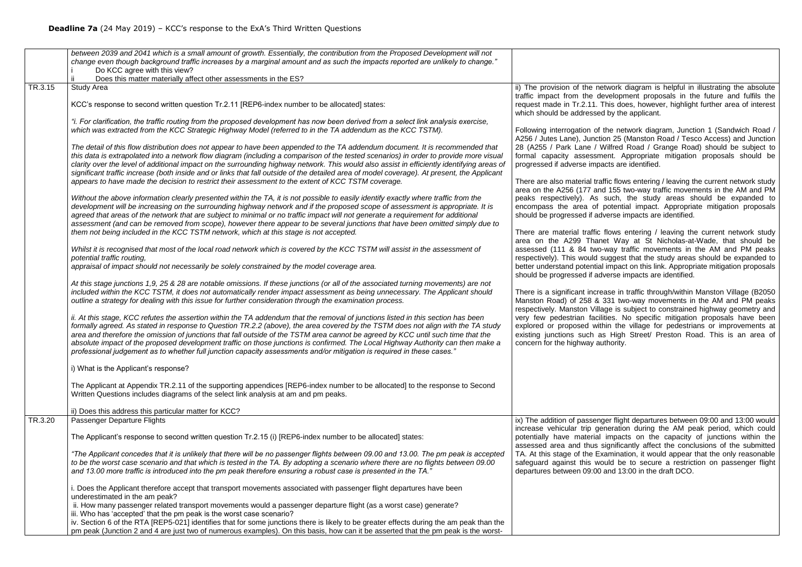|         | between 2039 and 2041 which is a small amount of growth. Essentially, the contribution from the Proposed Development will not<br>change even though background traffic increases by a marginal amount and as such the impacts reported are unlikely to change."<br>Do KCC agree with this view?<br>Does this matter materially affect other assessments in the ES?                                                                                                                                                                                                                                                                                                          |                                                                                                                                                  |
|---------|-----------------------------------------------------------------------------------------------------------------------------------------------------------------------------------------------------------------------------------------------------------------------------------------------------------------------------------------------------------------------------------------------------------------------------------------------------------------------------------------------------------------------------------------------------------------------------------------------------------------------------------------------------------------------------|--------------------------------------------------------------------------------------------------------------------------------------------------|
| TR.3.15 | <b>Study Area</b>                                                                                                                                                                                                                                                                                                                                                                                                                                                                                                                                                                                                                                                           | ii) The provision of the net                                                                                                                     |
|         | KCC's response to second written question Tr.2.11 [REP6-index number to be allocated] states:                                                                                                                                                                                                                                                                                                                                                                                                                                                                                                                                                                               | traffic impact from the dev<br>request made in Tr.2.11. Th<br>which should be addressed                                                          |
|         | "i. For clarification, the traffic routing from the proposed development has now been derived from a select link analysis exercise,<br>which was extracted from the KCC Strategic Highway Model (referred to in the TA addendum as the KCC TSTM).                                                                                                                                                                                                                                                                                                                                                                                                                           | Following interrogation of th<br>A256 / Jutes Lane), Junctio                                                                                     |
|         | The detail of this flow distribution does not appear to have been appended to the TA addendum document. It is recommended that<br>this data is extrapolated into a network flow diagram (including a comparison of the tested scenarios) in order to provide more visual<br>clarity over the level of additional impact on the surrounding highway network. This would also assist in efficiently identifying areas of<br>significant traffic increase (both inside and or links that fall outside of the detailed area of model coverage). At present, the Applicant<br>appears to have made the decision to restrict their assessment to the extent of KCC TSTM coverage. | 28 (A255 / Park Lane / W<br>formal capacity assessme<br>progressed if adverse impad<br>There are also material traff                             |
|         | Without the above information clearly presented within the TA, it is not possible to easily identify exactly where traffic from the<br>development will be increasing on the surrounding highway network and if the proposed scope of assessment is appropriate. It is<br>agreed that areas of the network that are subject to minimal or no traffic impact will not generate a requirement for additional<br>assessment (and can be removed from scope), however there appear to be several junctions that have been omitted simply due to<br>them not being included in the KCC TSTM network, which at this stage is not accepted.                                        | area on the A256 (177 and<br>peaks respectively). As s<br>encompass the area of p<br>should be progressed if adv<br>There are material traffic f |
|         | Whilst it is recognised that most of the local road network which is covered by the KCC TSTM will assist in the assessment of<br>potential traffic routing,<br>appraisal of impact should not necessarily be solely constrained by the model coverage area.                                                                                                                                                                                                                                                                                                                                                                                                                 | area on the A299 Thane<br>assessed (111 & 84 two-v<br>respectively). This would su<br>better understand potential i                              |
|         | At this stage junctions 1,9, 25 & 28 are notable omissions. If these junctions (or all of the associated turning movements) are not<br>included within the KCC TSTM, it does not automatically render impact assessment as being unnecessary. The Applicant should<br>outline a strategy for dealing with this issue for further consideration through the examination process.                                                                                                                                                                                                                                                                                             | should be progressed if adv<br>There is a significant increa<br>Manston Road) of 258 & 3<br>respectively. Manston Villag                         |
|         | ii. At this stage, KCC refutes the assertion within the TA addendum that the removal of junctions listed in this section has been<br>formally agreed. As stated in response to Question TR.2.2 (above), the area covered by the TSTM does not align with the TA study<br>area and therefore the omission of junctions that fall outside of the TSTM area cannot be agreed by KCC until such time that the<br>absolute impact of the proposed development traffic on those junctions is confirmed. The Local Highway Authority can then make a<br>professional judgement as to whether full junction capacity assessments and/or mitigation is required in these cases.      | very few pedestrian faciliti<br>explored or proposed withi<br>existing junctions such as<br>concern for the highway aut                          |
|         | i) What is the Applicant's response?                                                                                                                                                                                                                                                                                                                                                                                                                                                                                                                                                                                                                                        |                                                                                                                                                  |
|         | The Applicant at Appendix TR.2.11 of the supporting appendices [REP6-index number to be allocated] to the response to Second<br>Written Questions includes diagrams of the select link analysis at am and pm peaks.                                                                                                                                                                                                                                                                                                                                                                                                                                                         |                                                                                                                                                  |
|         | ii) Does this address this particular matter for KCC?                                                                                                                                                                                                                                                                                                                                                                                                                                                                                                                                                                                                                       |                                                                                                                                                  |
| TR.3.20 | Passenger Departure Flights                                                                                                                                                                                                                                                                                                                                                                                                                                                                                                                                                                                                                                                 | ix) The addition of passenge                                                                                                                     |
|         | The Applicant's response to second written question Tr.2.15 (i) [REP6-index number to be allocated] states:                                                                                                                                                                                                                                                                                                                                                                                                                                                                                                                                                                 | increase vehicular trip gen<br>potentially have material i<br>assessed area and thus si                                                          |
|         | "The Applicant concedes that it is unlikely that there will be no passenger flights between 09.00 and 13.00. The pm peak is accepted<br>to be the worst case scenario and that which is tested in the TA. By adopting a scenario where there are no flights between 09.00<br>and 13.00 more traffic is introduced into the pm peak therefore ensuring a robust case is presented in the TA.                                                                                                                                                                                                                                                                                 | TA. At this stage of the Exa<br>safeguard against this wou<br>departures between 09:00 a                                                         |
|         | i. Does the Applicant therefore accept that transport movements associated with passenger flight departures have been<br>underestimated in the am peak?<br>ii. How many passenger related transport movements would a passenger departure flight (as a worst case) generate?                                                                                                                                                                                                                                                                                                                                                                                                |                                                                                                                                                  |
|         | iii. Who has 'accepted' that the pm peak is the worst case scenario?<br>iv. Section 6 of the RTA [REP5-021] identifies that for some junctions there is likely to be greater effects during the am peak than the<br>pm peak (Junction 2 and 4 are just two of numerous examples). On this basis, how can it be asserted that the pm peak is the worst-                                                                                                                                                                                                                                                                                                                      |                                                                                                                                                  |

work diagram is helpful in illustrating the absolute velopment proposals in the future and fulfils the his does, however, highlight further area of interest by the applicant.

he network diagram, Junction 1 (Sandwich Road / In 25 (Manston Road / Tesco Access) and Junction lifred Road / Grange Road) should be subject to ent. Appropriate mitigation proposals should be cts are identified.

There also mater also mate inconserving the current network study 155 two-way traffic movements in the AM and PM such, the study areas should be expanded to ootential impact. Appropriate mitigation proposals erse impacts are identified.

lows entering / leaving the current network study et Way at St Nicholas-at-Wade, that should be way traffic movements in the AM and PM peaks iggest that the study areas should be expanded to impact on this link. Appropriate mitigation proposals erse impacts are identified.

Ise in traffic through/within Manston Village (B2050 31 two-way movements in the AM and PM peaks ge is subject to constrained highway geometry and es. No specific mitigation proposals have been in the village for pedestrians or improvements at High Street/ Preston Road. This is an area of hority.

er flight departures between 09:00 and 13:00 would ieration during the AM peak period, which could impacts on the capacity of junctions within the ignificantly affect the conclusions of the submitted amination, it would appear that the only reasonable uld be to secure a restriction on passenger flight and 13:00 in the draft DCO.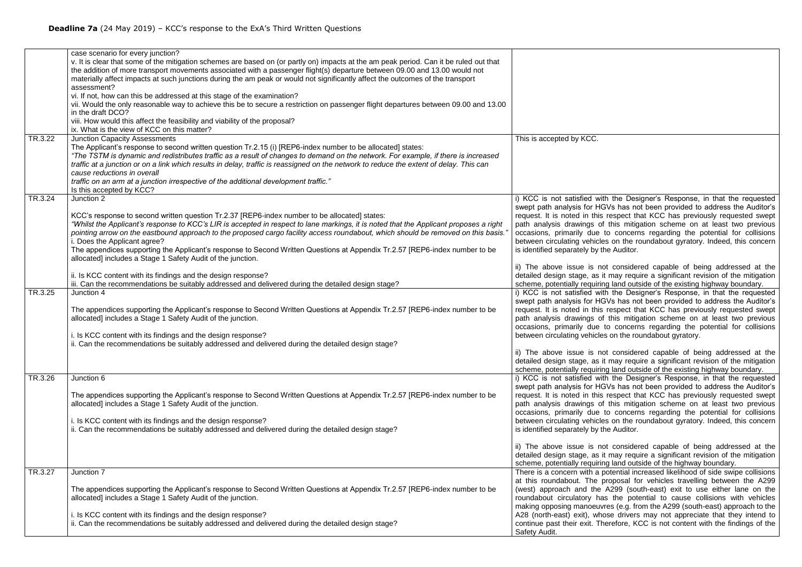|         | case scenario for every junction?<br>v. It is clear that some of the mitigation schemes are based on (or partly on) impacts at the am peak period. Can it be ruled out that<br>the addition of more transport movements associated with a passenger flight(s) departure between 09.00 and 13.00 would not<br>materially affect impacts at such junctions during the am peak or would not significantly affect the outcomes of the transport<br>assessment?<br>vi. If not, how can this be addressed at this stage of the examination?<br>vii. Would the only reasonable way to achieve this be to secure a restriction on passenger flight departures between 09.00 and 13.00<br>in the draft DCO?<br>viii. How would this affect the feasibility and viability of the proposal?<br>ix. What is the view of KCC on this matter? |                                                                                                                                                                                                                                                                                                                                                 |
|---------|---------------------------------------------------------------------------------------------------------------------------------------------------------------------------------------------------------------------------------------------------------------------------------------------------------------------------------------------------------------------------------------------------------------------------------------------------------------------------------------------------------------------------------------------------------------------------------------------------------------------------------------------------------------------------------------------------------------------------------------------------------------------------------------------------------------------------------|-------------------------------------------------------------------------------------------------------------------------------------------------------------------------------------------------------------------------------------------------------------------------------------------------------------------------------------------------|
| TR.3.22 | <b>Junction Capacity Assessments</b><br>The Applicant's response to second written question Tr.2.15 (i) [REP6-index number to be allocated] states:<br>"The TSTM is dynamic and redistributes traffic as a result of changes to demand on the network. For example, if there is increased<br>traffic at a junction or on a link which results in delay, traffic is reassigned on the network to reduce the extent of delay. This can<br>cause reductions in overall<br>traffic on an arm at a junction irrespective of the additional development traffic."<br>Is this accepted by KCC?                                                                                                                                                                                                                                         | This is accepted by KCC.                                                                                                                                                                                                                                                                                                                        |
| TR.3.24 | Junction 2<br>KCC's response to second written question Tr.2.37 [REP6-index number to be allocated] states:<br>"Whilst the Applicant's response to KCC's LIR is accepted in respect to lane markings, it is noted that the Applicant proposes a right<br>pointing arrow on the eastbound approach to the proposed cargo facility access roundabout, which should be removed on this basis."<br>i. Does the Applicant agree?<br>The appendices supporting the Applicant's response to Second Written Questions at Appendix Tr.2.57 [REP6-index number to be<br>allocated] includes a Stage 1 Safety Audit of the junction.<br>ii. Is KCC content with its findings and the design response?                                                                                                                                      | i) KCC is not satisfied wit<br>swept path analysis for HG<br>request. It is noted in this<br>path analysis drawings of<br>occasions, primarily due<br>between circulating vehicle<br>is identified separately by tl<br>ii) The above issue is no<br>detailed design stage, as i                                                                 |
| TR.3.25 | iii. Can the recommendations be suitably addressed and delivered during the detailed design stage?<br>Junction 4<br>The appendices supporting the Applicant's response to Second Written Questions at Appendix Tr.2.57 [REP6-index number to be<br>allocated] includes a Stage 1 Safety Audit of the junction.<br>i. Is KCC content with its findings and the design response?<br>ii. Can the recommendations be suitably addressed and delivered during the detailed design stage?                                                                                                                                                                                                                                                                                                                                             | scheme, potentially requirir<br>i) KCC is not satisfied wit<br>swept path analysis for HG<br>request. It is noted in this<br>path analysis drawings of<br>occasions, primarily due<br>between circulating vehicle<br>ii) The above issue is no<br>detailed design stage, as i                                                                   |
| TR.3.26 | Junction 6<br>The appendices supporting the Applicant's response to Second Written Questions at Appendix Tr.2.57 [REP6-index number to be<br>allocated] includes a Stage 1 Safety Audit of the junction.<br>i. Is KCC content with its findings and the design response?<br>ii. Can the recommendations be suitably addressed and delivered during the detailed design stage?                                                                                                                                                                                                                                                                                                                                                                                                                                                   | scheme, potentially requirir<br>i) KCC is not satisfied wit<br>swept path analysis for HG<br>request. It is noted in this<br>path analysis drawings of<br>occasions, primarily due<br>between circulating vehicle<br>is identified separately by tl<br>ii) The above issue is no<br>detailed design stage, as i<br>scheme, potentially requirir |
| TR.3.27 | Junction 7<br>The appendices supporting the Applicant's response to Second Written Questions at Appendix Tr.2.57 [REP6-index number to be<br>allocated] includes a Stage 1 Safety Audit of the junction.<br>i. Is KCC content with its findings and the design response?<br>ii. Can the recommendations be suitably addressed and delivered during the detailed design stage?                                                                                                                                                                                                                                                                                                                                                                                                                                                   | There is a concern with a p<br>at this roundabout. The p<br>(west) approach and the<br>roundabout circulatory ha<br>making opposing manoeuv<br>A28 (north-east) exit), who<br>continue past their exit. Th<br>Safety Audit.                                                                                                                     |

th the Designer's Response, in that the requested GVs has not been provided to address the Auditor's respect that KCC has previously requested swept this mitigation scheme on at least two previous to concerns regarding the potential for collisions es on the roundabout gyratory. Indeed, this concern he Auditor.

ot considered capable of being addressed at the it may require a significant revision of the mitigation ng land outside of the existing highway boundary.

th the Designer's Response, in that the requested GVs has not been provided to address the Auditor's respect that KCC has previously requested swept this mitigation scheme on at least two previous to concerns regarding the potential for collisions s on the roundabout gyratory.

ot considered capable of being addressed at the it may require a significant revision of the mitigation ng land outside of the existing highway boundary.

in the Designer's Response, in that the requested GVs has not been provided to address the Auditor's respect that KCC has previously requested swept this mitigation scheme on at least two previous to concerns regarding the potential for collisions es on the roundabout gyratory. Indeed, this concern he Auditor.

ot considered capable of being addressed at the it may require a significant revision of the mitigation ng land outside of the highway boundary.

potential increased likelihood of side swipe collisions proposal for vehicles travelling between the A299 A299 (south-east) exit to use either lane on the as the potential to cause collisions with vehicles res (e.g. from the A299 (south-east) approach to the ose drivers may not appreciate that they intend to erefore, KCC is not content with the findings of the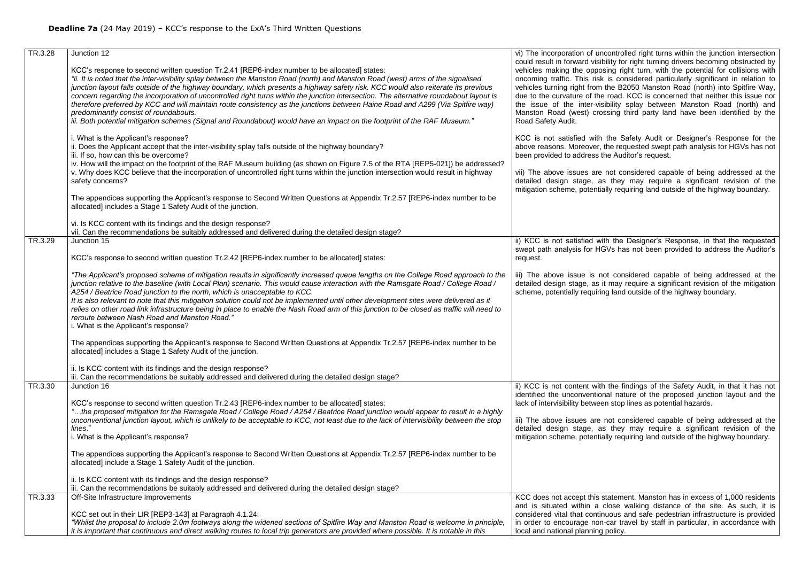| TR.3.28 | Junction 12                                                                                                                                                                                                                                                                                                                                                                                                                                                                                                                                                                                                                                                                                                                                                                                                              | vi) The incorporation of un                                                                                                                                                                                                             |
|---------|--------------------------------------------------------------------------------------------------------------------------------------------------------------------------------------------------------------------------------------------------------------------------------------------------------------------------------------------------------------------------------------------------------------------------------------------------------------------------------------------------------------------------------------------------------------------------------------------------------------------------------------------------------------------------------------------------------------------------------------------------------------------------------------------------------------------------|-----------------------------------------------------------------------------------------------------------------------------------------------------------------------------------------------------------------------------------------|
|         | KCC's response to second written question Tr.2.41 [REP6-index number to be allocated] states:<br>"ii. It is noted that the inter-visibility splay between the Manston Road (north) and Manston Road (west) arms of the signalised<br>junction layout falls outside of the highway boundary, which presents a highway safety risk. KCC would also reiterate its previous<br>concern regarding the incorporation of uncontrolled right turns within the junction intersection. The alternative roundabout layout is<br>therefore preferred by KCC and will maintain route consistency as the junctions between Haine Road and A299 (Via Spitfire way)<br>predominantly consist of roundabouts.<br>iii. Both potential mitigation schemes (Signal and Roundabout) would have an impact on the footprint of the RAF Museum." | could result in forward visib<br>vehicles making the oppos<br>oncoming traffic. This risk<br>vehicles turning right from<br>due to the curvature of the<br>the issue of the inter-vis<br>Manston Road (west) cros<br>Road Safety Audit. |
|         | i. What is the Applicant's response?<br>ii. Does the Applicant accept that the inter-visibility splay falls outside of the highway boundary?<br>iii. If so, how can this be overcome?<br>iv. How will the impact on the footprint of the RAF Museum building (as shown on Figure 7.5 of the RTA [REP5-021]) be addressed?<br>v. Why does KCC believe that the incorporation of uncontrolled right turns within the junction intersection would result in highway<br>safety concerns?                                                                                                                                                                                                                                                                                                                                     | KCC is not satisfied with<br>above reasons. Moreover, t<br>been provided to address tl<br>vii) The above issues are<br>detailed design stage, as<br>mitigation scheme, potentia                                                         |
|         | The appendices supporting the Applicant's response to Second Written Questions at Appendix Tr.2.57 [REP6-index number to be<br>allocated] includes a Stage 1 Safety Audit of the junction.                                                                                                                                                                                                                                                                                                                                                                                                                                                                                                                                                                                                                               |                                                                                                                                                                                                                                         |
|         | vi. Is KCC content with its findings and the design response?<br>vii. Can the recommendations be suitably addressed and delivered during the detailed design stage?                                                                                                                                                                                                                                                                                                                                                                                                                                                                                                                                                                                                                                                      |                                                                                                                                                                                                                                         |
| TR.3.29 | Junction 15<br>KCC's response to second written question Tr.2.42 [REP6-index number to be allocated] states:                                                                                                                                                                                                                                                                                                                                                                                                                                                                                                                                                                                                                                                                                                             | ii) KCC is not satisfied wit<br>swept path analysis for HG<br>request.                                                                                                                                                                  |
|         | "The Applicant's proposed scheme of mitigation results in significantly increased queue lengths on the College Road approach to the<br>junction relative to the baseline (with Local Plan) scenario. This would cause interaction with the Ramsgate Road / College Road /<br>A254 / Beatrice Road junction to the north, which is unacceptable to KCC.<br>It is also relevant to note that this mitigation solution could not be implemented until other development sites were delivered as it<br>relies on other road link infrastructure being in place to enable the Nash Road arm of this junction to be closed as traffic will need to<br>reroute between Nash Road and Manston Road."<br>i. What is the Applicant's response?                                                                                     | iii) The above issue is no<br>detailed design stage, as it<br>scheme, potentially requirin                                                                                                                                              |
|         | The appendices supporting the Applicant's response to Second Written Questions at Appendix Tr.2.57 [REP6-index number to be<br>allocated] includes a Stage 1 Safety Audit of the junction.                                                                                                                                                                                                                                                                                                                                                                                                                                                                                                                                                                                                                               |                                                                                                                                                                                                                                         |
|         | ii. Is KCC content with its findings and the design response?<br>iii. Can the recommendations be suitably addressed and delivered during the detailed design stage?                                                                                                                                                                                                                                                                                                                                                                                                                                                                                                                                                                                                                                                      |                                                                                                                                                                                                                                         |
| TR.3.30 | Junction 16<br>KCC's response to second written question Tr.2.43 [REP6-index number to be allocated] states:<br>the proposed mitigation for the Ramsgate Road / College Road / A254 / Beatrice Road junction would appear to result in a highly"<br>unconventional junction layout, which is unlikely to be acceptable to KCC, not least due to the lack of intervisibility between the stop<br>lines."<br>i. What is the Applicant's response?                                                                                                                                                                                                                                                                                                                                                                          | ii) KCC is not content with<br>identified the unconventior<br>lack of intervisibility betwee<br>iii) The above issues are<br>detailed design stage, as<br>mitigation scheme, potentia                                                   |
|         | The appendices supporting the Applicant's response to Second Written Questions at Appendix Tr.2.57 [REP6-index number to be<br>allocated] include a Stage 1 Safety Audit of the junction.                                                                                                                                                                                                                                                                                                                                                                                                                                                                                                                                                                                                                                |                                                                                                                                                                                                                                         |
|         | ii. Is KCC content with its findings and the design response?<br>iii. Can the recommendations be suitably addressed and delivered during the detailed design stage?                                                                                                                                                                                                                                                                                                                                                                                                                                                                                                                                                                                                                                                      |                                                                                                                                                                                                                                         |
| TR.3.33 | Off-Site Infrastructure Improvements                                                                                                                                                                                                                                                                                                                                                                                                                                                                                                                                                                                                                                                                                                                                                                                     | KCC does not accept this s<br>and is situated within a o                                                                                                                                                                                |
|         | KCC set out in their LIR [REP3-143] at Paragraph 4.1.24:<br>"Whilst the proposal to include 2.0m footways along the widened sections of Spitfire Way and Manston Road is welcome in principle,<br>it is important that continuous and direct walking routes to local trip generators are provided where possible. It is notable in this                                                                                                                                                                                                                                                                                                                                                                                                                                                                                  | considered vital that contin<br>in order to encourage non-<br>local and national planning                                                                                                                                               |

controlled right turns within the junction intersection bility for right turning drivers becoming obstructed by sing right turn, with the potential for collisions with is considered particularly significant in relation to vehicles turning right from the B2050 Manston Road (north) into Spitfire Way, road. KCC is concerned that neither this issue nor sibility splay between Manston Road (north) and ssing third party land have been identified by the

the Safety Audit or Designer's Response for the the requested swept path analysis for HGVs has not he Auditor's request.

not considered capable of being addressed at the s they may require a significant revision of the ally requiring land outside of the highway boundary.

th the Designer's Response, in that the requested GVs has not been provided to address the Auditor's

ot considered capable of being addressed at the It may require a significant revision of the mitigation ng land outside of the highway boundary.

ithe findings of the Safety Audit, in that it has not nal nature of the proposed junction layout and the en stop lines as potential hazards.

not considered capable of being addressed at the s they may require a significant revision of the ally requiring land outside of the highway boundary.

statement. Manston has in excess of 1,000 residents close walking distance of the site. As such, it is nuous and safe pedestrian infrastructure is provided -car travel by staff in particular, in accordance with policy.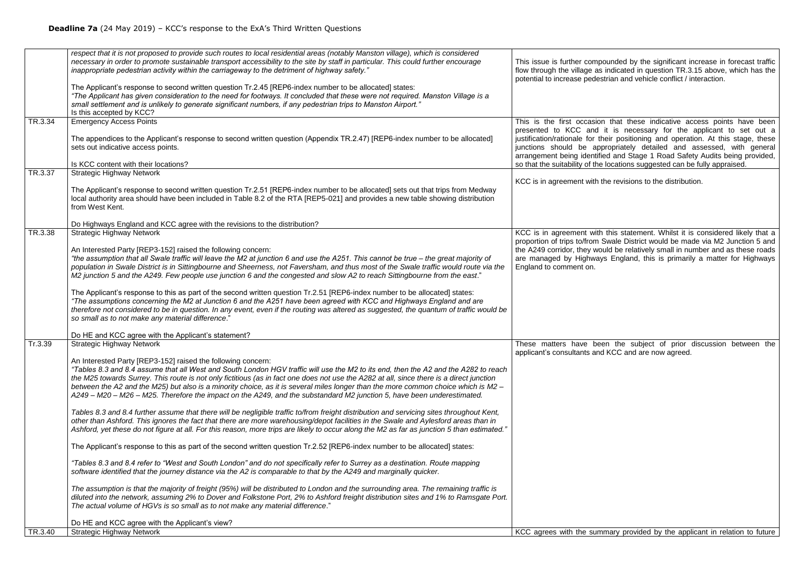|         | respect that it is not proposed to provide such routes to local residential areas (notably Manston village), which is considered<br>necessary in order to promote sustainable transport accessibility to the site by staff in particular. This could further encourage<br>inappropriate pedestrian activity within the carriageway to the detriment of highway safety."<br>The Applicant's response to second written question Tr.2.45 [REP6-index number to be allocated] states:<br>"The Applicant has given consideration to the need for footways. It concluded that these were not required. Manston Village is a<br>small settlement and is unlikely to generate significant numbers, if any pedestrian trips to Manston Airport."<br>Is this accepted by KCC? | This issue is further compo<br>flow through the village as<br>potential to increase pedes                                                    |
|---------|----------------------------------------------------------------------------------------------------------------------------------------------------------------------------------------------------------------------------------------------------------------------------------------------------------------------------------------------------------------------------------------------------------------------------------------------------------------------------------------------------------------------------------------------------------------------------------------------------------------------------------------------------------------------------------------------------------------------------------------------------------------------|----------------------------------------------------------------------------------------------------------------------------------------------|
| TR.3.34 | <b>Emergency Access Points</b><br>The appendices to the Applicant's response to second written question (Appendix TR.2.47) [REP6-index number to be allocated]                                                                                                                                                                                                                                                                                                                                                                                                                                                                                                                                                                                                       | This is the first occasion<br>presented to KCC and<br>justification/rationale for th                                                         |
|         | sets out indicative access points.                                                                                                                                                                                                                                                                                                                                                                                                                                                                                                                                                                                                                                                                                                                                   | junctions should be app<br>arrangement being identifie                                                                                       |
|         | Is KCC content with their locations?                                                                                                                                                                                                                                                                                                                                                                                                                                                                                                                                                                                                                                                                                                                                 | so that the suitability of the                                                                                                               |
| TR.3.37 | <b>Strategic Highway Network</b><br>The Applicant's response to second written question Tr.2.51 [REP6-index number to be allocated] sets out that trips from Medway<br>local authority area should have been included in Table 8.2 of the RTA [REP5-021] and provides a new table showing distribution<br>from West Kent.                                                                                                                                                                                                                                                                                                                                                                                                                                            | KCC is in agreement with tl                                                                                                                  |
|         | Do Highways England and KCC agree with the revisions to the distribution?                                                                                                                                                                                                                                                                                                                                                                                                                                                                                                                                                                                                                                                                                            |                                                                                                                                              |
| TR.3.38 | <b>Strategic Highway Network</b><br>An Interested Party [REP3-152] raised the following concern:<br>"the assumption that all Swale traffic will leave the M2 at junction 6 and use the A251. This cannot be true – the great majority of<br>population in Swale District is in Sittingbourne and Sheerness, not Faversham, and thus most of the Swale traffic would route via the<br>M2 junction 5 and the A249. Few people use junction 6 and the congested and slow A2 to reach Sittingbourne from the east."                                                                                                                                                                                                                                                      | KCC is in agreement with<br>proportion of trips to/from S<br>the A249 corridor, they wou<br>are managed by Highway<br>England to comment on. |
|         | The Applicant's response to this as part of the second written question Tr.2.51 [REP6-index number to be allocated] states:<br>"The assumptions concerning the M2 at Junction 6 and the A251 have been agreed with KCC and Highways England and are<br>therefore not considered to be in question. In any event, even if the routing was altered as suggested, the quantum of traffic would be<br>so small as to not make any material difference."                                                                                                                                                                                                                                                                                                                  |                                                                                                                                              |
|         | Do HE and KCC agree with the Applicant's statement?                                                                                                                                                                                                                                                                                                                                                                                                                                                                                                                                                                                                                                                                                                                  |                                                                                                                                              |
| Tr.3.39 | <b>Strategic Highway Network</b>                                                                                                                                                                                                                                                                                                                                                                                                                                                                                                                                                                                                                                                                                                                                     | These matters have bee<br>applicant's consultants and                                                                                        |
|         | An Interested Party [REP3-152] raised the following concern:<br>"Tables 8.3 and 8.4 assume that all West and South London HGV traffic will use the M2 to its end, then the A2 and the A282 to reach<br>the M25 towards Surrey. This route is not only fictitious (as in fact one does not use the A282 at all, since there is a direct junction<br>between the A2 and the M25) but also is a minority choice, as it is several miles longer than the more common choice which is M2 -<br>A249 - M20 - M26 - M25. Therefore the impact on the A249, and the substandard M2 junction 5, have been underestimated.                                                                                                                                                      |                                                                                                                                              |
|         | Tables 8.3 and 8.4 further assume that there will be negligible traffic to/from freight distribution and servicing sites throughout Kent,<br>other than Ashford. This ignores the fact that there are more warehousing/depot facilities in the Swale and Aylesford areas than in<br>Ashford, yet these do not figure at all. For this reason, more trips are likely to occur along the M2 as far as junction 5 than estimated."                                                                                                                                                                                                                                                                                                                                      |                                                                                                                                              |
|         | The Applicant's response to this as part of the second written question Tr.2.52 [REP6-index number to be allocated] states:                                                                                                                                                                                                                                                                                                                                                                                                                                                                                                                                                                                                                                          |                                                                                                                                              |
|         | "Tables 8.3 and 8.4 refer to "West and South London" and do not specifically refer to Surrey as a destination. Route mapping<br>software identified that the journey distance via the A2 is comparable to that by the A249 and marginally quicker.                                                                                                                                                                                                                                                                                                                                                                                                                                                                                                                   |                                                                                                                                              |
|         | The assumption is that the majority of freight (95%) will be distributed to London and the surrounding area. The remaining traffic is<br>diluted into the network, assuming 2% to Dover and Folkstone Port, 2% to Ashford freight distribution sites and 1% to Ramsgate Port.<br>The actual volume of HGVs is so small as to not make any material difference."                                                                                                                                                                                                                                                                                                                                                                                                      |                                                                                                                                              |
|         | Do HE and KCC agree with the Applicant's view?                                                                                                                                                                                                                                                                                                                                                                                                                                                                                                                                                                                                                                                                                                                       |                                                                                                                                              |
| TR.3.40 | <b>Strategic Highway Network</b>                                                                                                                                                                                                                                                                                                                                                                                                                                                                                                                                                                                                                                                                                                                                     | KCC agrees with the sum                                                                                                                      |

ounded by the significant increase in forecast traffic flow the village as in the village as indicated in question TR.3.15 above, which has the strian and vehicle conflict / interaction.

that these indicative access points have been it is necessary for the applicant to set out a justification/rationale for their positioning and operation. At this stage, these junctions should be appropriately detailed and assessed, with general ed and Stage 1 Road Safety Audits being provided, locations suggested can be fully appraised.

he revisions to the distribution.

this statement. Whilst it is considered likely that a Swale District would be made via M2 Junction 5 and uld be relatively small in number and as these roads is England, this is primarily a matter for Highways

en the subject of prior discussion between the KCC and are now agreed.

mary provided by the applicant in relation to future